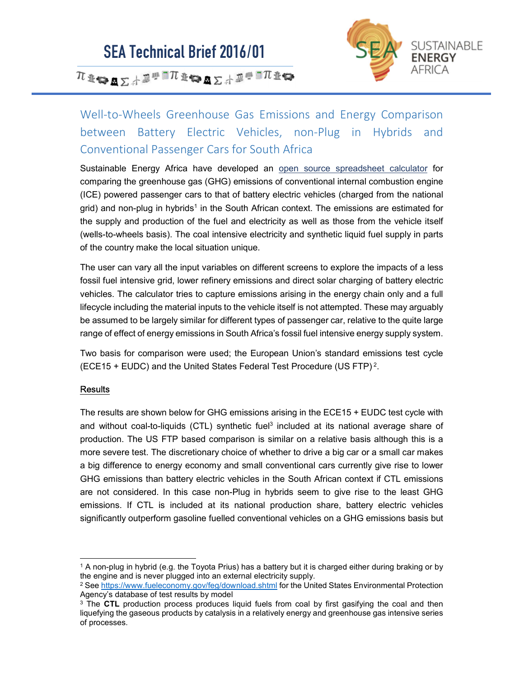

 $\pi$ 1740  $\mathbf{s}$ 

### Well-to-Wheels Greenhouse Gas Emissions and Energy Comparison between Battery Electric Vehicles, non-Plug in Hybrids and Conventional Passenger Cars for South Africa

Sustainable Energy Africa have developed an open source spreadsheet calculator for comparing the greenhouse gas (GHG) emissions of conventional internal combustion engine (ICE) powered passenger cars to that of battery electric vehicles (charged from the national grid) and non-plug in hybrids<sup>1</sup> in the South African context. The emissions are estimated for the supply and production of the fuel and electricity as well as those from the vehicle itself (wells-to-wheels basis). The coal intensive electricity and synthetic liquid fuel supply in parts of the country make the local situation unique.

The user can vary all the input variables on different screens to explore the impacts of a less fossil fuel intensive grid, lower refinery emissions and direct solar charging of battery electric vehicles. The calculator tries to capture emissions arising in the energy chain only and a full lifecycle including the material inputs to the vehicle itself is not attempted. These may arguably be assumed to be largely similar for different types of passenger car, relative to the quite large range of effect of energy emissions in South Africa's fossil fuel intensive energy supply system.

Two basis for comparison were used; the European Union's standard emissions test cycle (ECE15 + EUDC) and the United States Federal Test Procedure (US FTP) $^2$ .

### **Results**

The results are shown below for GHG emissions arising in the ECE15 + EUDC test cycle with and without coal-to-liquids (CTL) synthetic fuel<sup>3</sup> included at its national average share of production. The US FTP based comparison is similar on a relative basis although this is a more severe test. The discretionary choice of whether to drive a big car or a small car makes a big difference to energy economy and small conventional cars currently give rise to lower GHG emissions than battery electric vehicles in the South African context if CTL emissions are not considered. In this case non-Plug in hybrids seem to give rise to the least GHG emissions. If CTL is included at its national production share, battery electric vehicles significantly outperform gasoline fuelled conventional vehicles on a GHG emissions basis but

 <sup>1</sup> A non-plug in hybrid (e.g. the Toyota Prius) has a battery but it is charged either during braking or by the engine and is never plugged into an external electricity supply.

<sup>&</sup>lt;sup>2</sup> See https://www.fueleconomy.gov/feg/download.shtml for the United States Environmental Protection Agency's database of test results by model

<sup>&</sup>lt;sup>3</sup> The CTL production process produces liquid fuels from coal by first gasifying the coal and then liquefying the gaseous products by catalysis in a relatively energy and greenhouse gas intensive series of processes.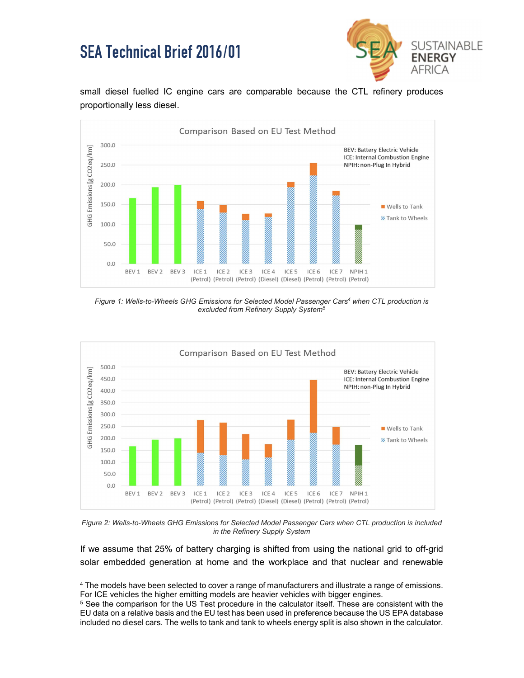

small diesel fuelled IC engine cars are comparable because the CTL refinery produces proportionally less diesel.



Figure 1: Wells-to-Wheels GHG Emissions for Selected Model Passenger Cars<sup>4</sup> when CTL production is excluded from Refinery Supply System<sup>5</sup>



Figure 2: Wells-to-Wheels GHG Emissions for Selected Model Passenger Cars when CTL production is included in the Refinery Supply System

If we assume that 25% of battery charging is shifted from using the national grid to off-grid solar embedded generation at home and the workplace and that nuclear and renewable

 <sup>4</sup> The models have been selected to cover a range of manufacturers and illustrate a range of emissions. For ICE vehicles the higher emitting models are heavier vehicles with bigger engines.

<sup>&</sup>lt;sup>5</sup> See the comparison for the US Test procedure in the calculator itself. These are consistent with the EU data on a relative basis and the EU test has been used in preference because the US EPA database included no diesel cars. The wells to tank and tank to wheels energy split is also shown in the calculator.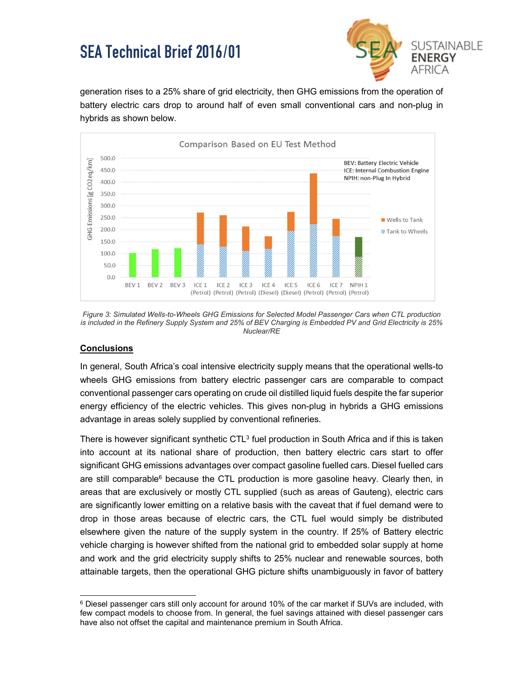

generation rises to a 25% share of grid electricity, then GHG emissions from the operation of battery electric cars drop to around half of even small conventional cars and non-plug in hybrids as shown below.



Figure 3: Simulated Wells-to-Wheels GHG Emissions for Selected Model Passenger Cars when CTL production is included in the Refinery Supply System and 25% of BEV Charging is Embedded PV and Grid Electricity is 25% Nuclear/RE

### **Conclusions**

In general, South Africa's coal intensive electricity supply means that the operational wells-to wheels GHG emissions from battery electric passenger cars are comparable to compact conventional passenger cars operating on crude oil distilled liquid fuels despite the far superior energy efficiency of the electric vehicles. This gives non-plug in hybrids a GHG emissions advantage in areas solely supplied by conventional refineries.

There is however significant synthetic CTL $^3$  fuel production in South Africa and if this is taken into account at its national share of production, then battery electric cars start to offer significant GHG emissions advantages over compact gasoline fuelled cars. Diesel fuelled cars are still comparable<sup>6</sup> because the CTL production is more gasoline heavy. Clearly then, in areas that are exclusively or mostly CTL supplied (such as areas of Gauteng), electric cars are significantly lower emitting on a relative basis with the caveat that if fuel demand were to drop in those areas because of electric cars, the CTL fuel would simply be distributed elsewhere given the nature of the supply system in the country. If 25% of Battery electric vehicle charging is however shifted from the national grid to embedded solar supply at home and work and the grid electricity supply shifts to 25% nuclear and renewable sources, both attainable targets, then the operational GHG picture shifts unambiguously in favor of battery

 <sup>6</sup> Diesel passenger cars still only account for around 10% of the car market if SUVs are included, with few compact models to choose from. In general, the fuel savings attained with diesel passenger cars have also not offset the capital and maintenance premium in South Africa.